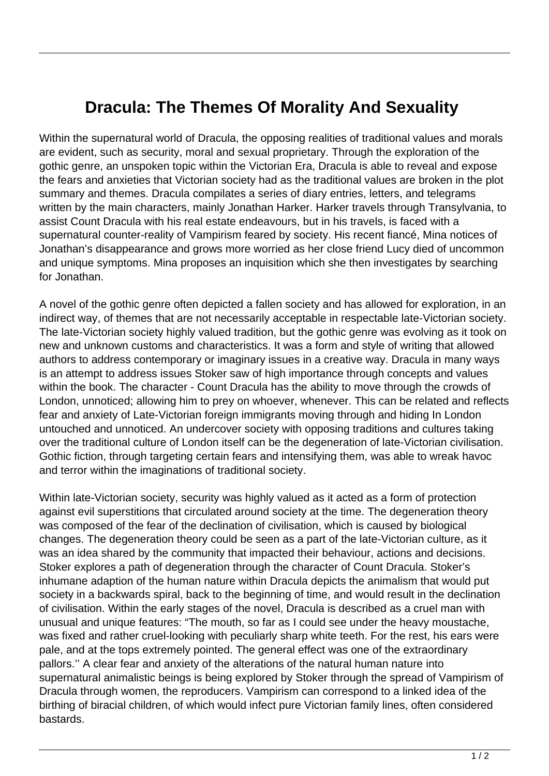## **Dracula: The Themes Of Morality And Sexuality**

Within the supernatural world of Dracula, the opposing realities of traditional values and morals are evident, such as security, moral and sexual proprietary. Through the exploration of the gothic genre, an unspoken topic within the Victorian Era, Dracula is able to reveal and expose the fears and anxieties that Victorian society had as the traditional values are broken in the plot summary and themes. Dracula compilates a series of diary entries, letters, and telegrams written by the main characters, mainly Jonathan Harker. Harker travels through Transylvania, to assist Count Dracula with his real estate endeavours, but in his travels, is faced with a supernatural counter-reality of Vampirism feared by society. His recent fiancé, Mina notices of Jonathan's disappearance and grows more worried as her close friend Lucy died of uncommon and unique symptoms. Mina proposes an inquisition which she then investigates by searching for Jonathan.

A novel of the gothic genre often depicted a fallen society and has allowed for exploration, in an indirect way, of themes that are not necessarily acceptable in respectable late-Victorian society. The late-Victorian society highly valued tradition, but the gothic genre was evolving as it took on new and unknown customs and characteristics. It was a form and style of writing that allowed authors to address contemporary or imaginary issues in a creative way. Dracula in many ways is an attempt to address issues Stoker saw of high importance through concepts and values within the book. The character - Count Dracula has the ability to move through the crowds of London, unnoticed; allowing him to prey on whoever, whenever. This can be related and reflects fear and anxiety of Late-Victorian foreign immigrants moving through and hiding In London untouched and unnoticed. An undercover society with opposing traditions and cultures taking over the traditional culture of London itself can be the degeneration of late-Victorian civilisation. Gothic fiction, through targeting certain fears and intensifying them, was able to wreak havoc and terror within the imaginations of traditional society.

Within late-Victorian society, security was highly valued as it acted as a form of protection against evil superstitions that circulated around society at the time. The degeneration theory was composed of the fear of the declination of civilisation, which is caused by biological changes. The degeneration theory could be seen as a part of the late-Victorian culture, as it was an idea shared by the community that impacted their behaviour, actions and decisions. Stoker explores a path of degeneration through the character of Count Dracula. Stoker's inhumane adaption of the human nature within Dracula depicts the animalism that would put society in a backwards spiral, back to the beginning of time, and would result in the declination of civilisation. Within the early stages of the novel, Dracula is described as a cruel man with unusual and unique features: "The mouth, so far as I could see under the heavy moustache, was fixed and rather cruel-looking with peculiarly sharp white teeth. For the rest, his ears were pale, and at the tops extremely pointed. The general effect was one of the extraordinary pallors.'' A clear fear and anxiety of the alterations of the natural human nature into supernatural animalistic beings is being explored by Stoker through the spread of Vampirism of Dracula through women, the reproducers. Vampirism can correspond to a linked idea of the birthing of biracial children, of which would infect pure Victorian family lines, often considered bastards.